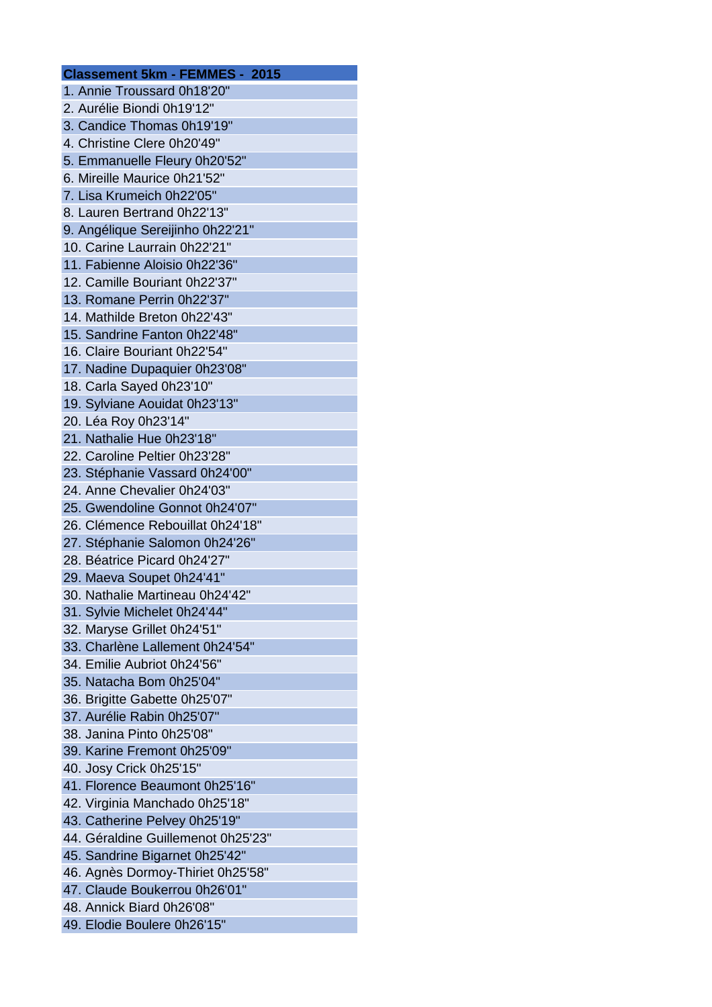| <b>Classement 5km - FEMMES - 2015</b> |
|---------------------------------------|
| 1. Annie Troussard 0h18'20"           |
| 2. Aurélie Biondi 0h19'12"            |
| 3. Candice Thomas 0h19'19"            |
| 4. Christine Clere 0h20'49"           |
| 5. Emmanuelle Fleury 0h20'52"         |
| 6. Mireille Maurice 0h21'52"          |
| 7. Lisa Krumeich 0h22'05"             |
| 8. Lauren Bertrand 0h22'13"           |
| 9. Angélique Sereijinho 0h22'21"      |
| 10. Carine Laurrain 0h22'21"          |
| 11. Fabienne Aloisio 0h22'36"         |
| 12. Camille Bouriant 0h22'37"         |
| 13. Romane Perrin 0h22'37"            |
| 14. Mathilde Breton 0h22'43"          |
| 15. Sandrine Fanton 0h22'48"          |
| 16. Claire Bouriant 0h22'54"          |
| 17. Nadine Dupaquier 0h23'08"         |
| 18. Carla Sayed 0h23'10"              |
| 19. Sylviane Aouidat 0h23'13"         |
| 20. Léa Roy 0h23'14"                  |
| 21. Nathalie Hue 0h23'18"             |
| 22. Caroline Peltier 0h23'28"         |
| 23. Stéphanie Vassard 0h24'00"        |
| 24. Anne Chevalier 0h24'03"           |
| 25. Gwendoline Gonnot 0h24'07"        |
| 26. Clémence Rebouillat 0h24'18"      |
| 27. Stéphanie Salomon 0h24'26"        |
| 28. Béatrice Picard 0h24'27"          |
| 29. Maeva Soupet 0h24'41"             |
| 30. Nathalie Martineau 0h24'42"       |
| 31. Sylvie Michelet 0h24'44"          |
| 32. Maryse Grillet 0h24'51"           |
| 33. Charlène Lallement 0h24'54"       |
| 34. Emilie Aubriot 0h24'56"           |
| 35. Natacha Bom 0h25'04"              |
| 36. Brigitte Gabette 0h25'07"         |
| 37. Aurélie Rabin 0h25'07"            |
| 38. Janina Pinto 0h25'08"             |
| 39. Karine Fremont 0h25'09"           |
| 40. Josy Crick 0h25'15"               |
| 41. Florence Beaumont 0h25'16"        |
| 42. Virginia Manchado 0h25'18"        |
| 43. Catherine Pelvey 0h25'19"         |
| 44. Géraldine Guillemenot 0h25'23"    |
| 45. Sandrine Bigarnet 0h25'42"        |
| 46. Agnès Dormoy-Thiriet 0h25'58"     |
| 47. Claude Boukerrou 0h26'01"         |
| 48. Annick Biard 0h26'08"             |
| 49. Elodie Boulere 0h26'15"           |
|                                       |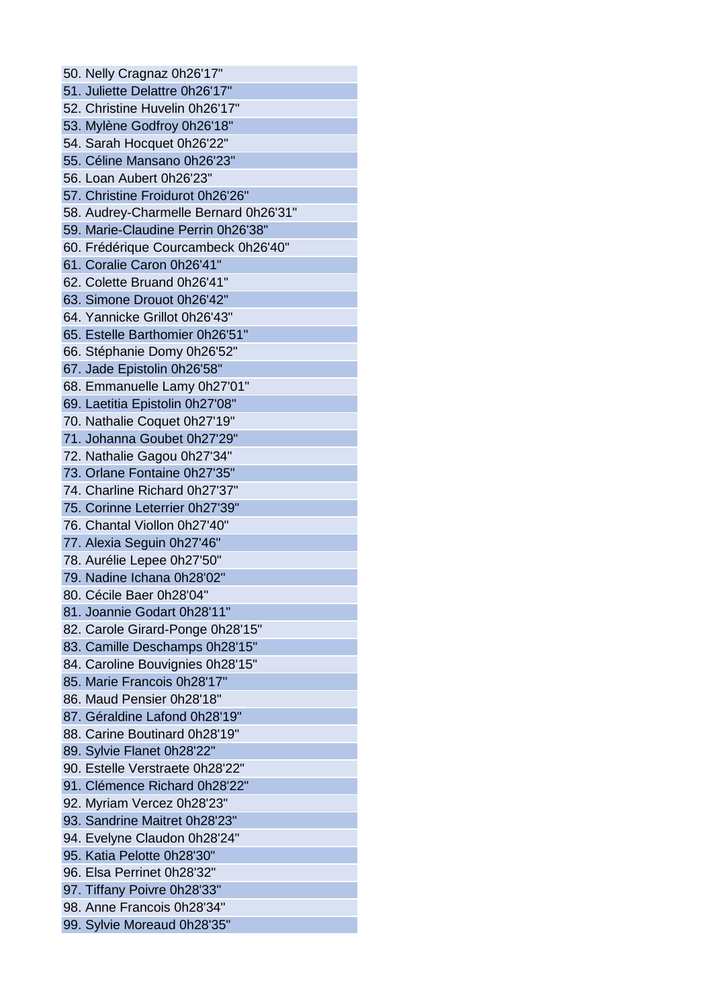50. Nelly Cragnaz 0h26'17" 51. Juliette Delattre 0h26'17" 52. Christine Huvelin 0h26'17" 53. Mylène Godfroy 0h26'18" 54. Sarah Hocquet 0h26'22" 55. Céline Mansano 0h26'23" 56. Loan Aubert 0h26'23" 57. Christine Froidurot 0h26'26" 58. Audrey-Charmelle Bernard 0h26'31" 59. Marie-Claudine Perrin 0h26'38" 60. Frédérique Courcambeck 0h26'40" 61. Coralie Caron 0h26'41" 62. Colette Bruand 0h26'41" 63. Simone Drouot 0h26'42" 64. Yannicke Grillot 0h26'43" 65. Estelle Barthomier 0h26'51" 66. Stéphanie Domy 0h26'52" 67. Jade Epistolin 0h26'58" 68. Emmanuelle Lamy 0h27'01" 69. Laetitia Epistolin 0h27'08" 70. Nathalie Coquet 0h27'19" 71. Johanna Goubet 0h27'29" 72. Nathalie Gagou 0h27'34" 73. Orlane Fontaine 0h27'35" 74. Charline Richard 0h27'37" 75. Corinne Leterrier 0h27'39" 76. Chantal Viollon 0h27'40" 77. Alexia Seguin 0h27'46" 78. Aurélie Lepee 0h27'50" 79. Nadine Ichana 0h28'02" 80. Cécile Baer 0h28'04" 81. Joannie Godart 0h28'11" 82. Carole Girard-Ponge 0h28'15" 83. Camille Deschamps 0h28'15" 84. Caroline Bouvignies 0h28'15" 85. Marie Francois 0h28'17" 86. Maud Pensier 0h28'18" 87. Géraldine Lafond 0h28'19" 88. Carine Boutinard 0h28'19" 89. Sylvie Flanet 0h28'22" 90. Estelle Verstraete 0h28'22" 91. Clémence Richard 0h28'22" 92. Myriam Vercez 0h28'23" 93. Sandrine Maitret 0h28'23" 94. Evelyne Claudon 0h28'24" 95. Katia Pelotte 0h28'30" 96. Elsa Perrinet 0h28'32" 97. Tiffany Poivre 0h28'33" 98. Anne Francois 0h28'34" 99. Sylvie Moreaud 0h28'35"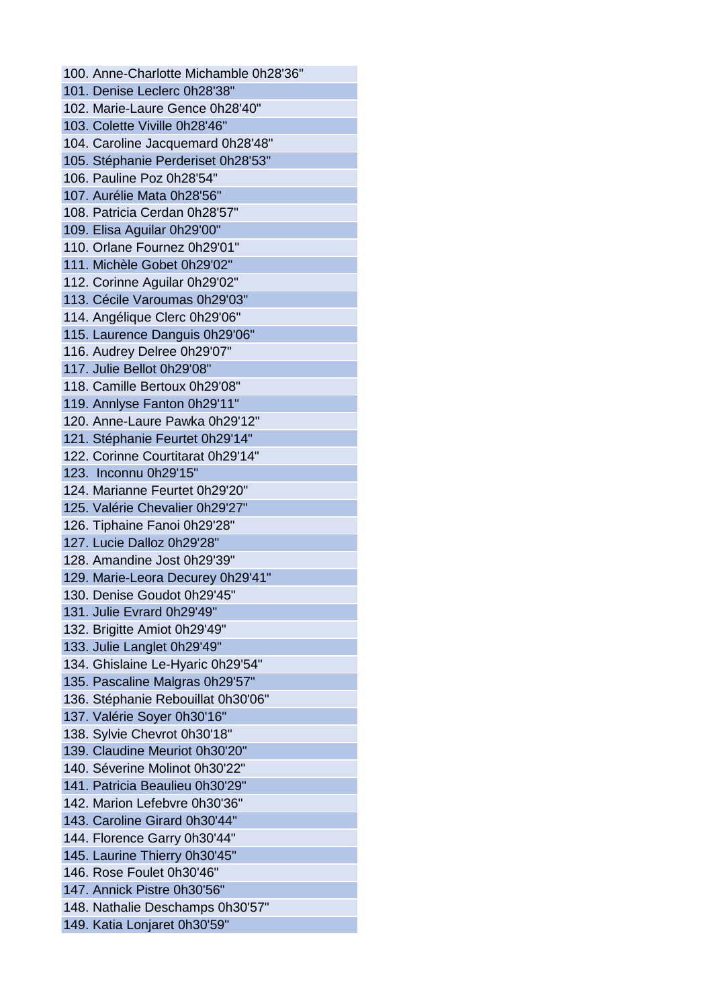100. Anne-Charlotte Michamble 0h28'36" 101. Denise Leclerc 0h28'38" 102. Marie-Laure Gence 0h28'40" 103. Colette Viville 0h28'46" 104. Caroline Jacquemard 0h28'48" 105. Stéphanie Perderiset 0h28'53" 106. Pauline Poz 0h28'54" 107. Aurélie Mata 0h28'56" 108. Patricia Cerdan 0h28'57" 109. Elisa Aguilar 0h29'00" 110. Orlane Fournez 0h29'01" 111. Michèle Gobet 0h29'02" 112. Corinne Aguilar 0h29'02" 113. Cécile Varoumas 0h29'03" 114. Angélique Clerc 0h29'06" 115. Laurence Danguis 0h29'06" 116. Audrey Delree 0h29'07" 117. Julie Bellot 0h29'08" 118. Camille Bertoux 0h29'08" 119. Annlyse Fanton 0h29'11" 120. Anne-Laure Pawka 0h29'12" 121. Stéphanie Feurtet 0h29'14" 122. Corinne Courtitarat 0h29'14" 123. Inconnu 0h29'15" 124. Marianne Feurtet 0h29'20" 125. Valérie Chevalier 0h29'27" 126. Tiphaine Fanoi 0h29'28" 127. Lucie Dalloz 0h29'28" 128. Amandine Jost 0h29'39" 129. Marie-Leora Decurey 0h29'41" 130. Denise Goudot 0h29'45" 131. Julie Evrard 0h29'49" 132. Brigitte Amiot 0h29'49" 133. Julie Langlet 0h29'49" 134. Ghislaine Le-Hyaric 0h29'54" 135. Pascaline Malgras 0h29'57" 136. Stéphanie Rebouillat 0h30'06" 137. Valérie Soyer 0h30'16" 138. Sylvie Chevrot 0h30'18" 139. Claudine Meuriot 0h30'20" 140. Séverine Molinot 0h30'22" 141. Patricia Beaulieu 0h30'29" 142. Marion Lefebvre 0h30'36" 143. Caroline Girard 0h30'44" 144. Florence Garry 0h30'44" 145. Laurine Thierry 0h30'45" 146. Rose Foulet 0h30'46" 147. Annick Pistre 0h30'56" 148. Nathalie Deschamps 0h30'57" 149. Katia Lonjaret 0h30'59"